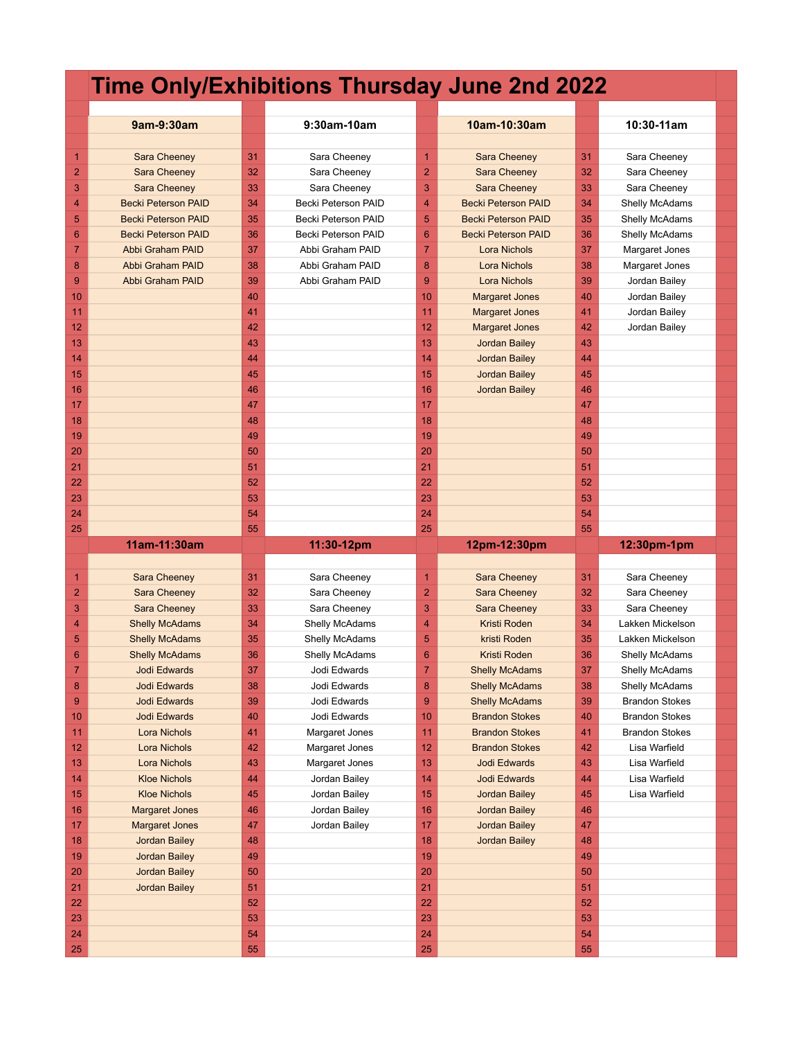## **Time Only/Exhibitions Thursday June 2nd 2022**

|                | 9am-9:30am                                   |          | 9:30am-10am                    |                | 10am-10:30am                                   |          | 10:30-11am                     |
|----------------|----------------------------------------------|----------|--------------------------------|----------------|------------------------------------------------|----------|--------------------------------|
|                |                                              |          |                                |                |                                                |          |                                |
| 1              | Sara Cheeney                                 | 31       | Sara Cheeney                   | $\overline{1}$ | Sara Cheeney                                   | 31       | Sara Cheeney                   |
| $\overline{2}$ | <b>Sara Cheeney</b>                          | 32       | Sara Cheeney                   | $\overline{2}$ | <b>Sara Cheeney</b>                            | 32       | Sara Cheeney                   |
| 3              | <b>Sara Cheeney</b>                          | 33       | Sara Cheeney                   | 3              | Sara Cheeney                                   | 33       | Sara Cheeney                   |
| 4              | <b>Becki Peterson PAID</b>                   | 34       | Becki Peterson PAID            | 4              | <b>Becki Peterson PAID</b>                     | 34       | Shelly McAdams                 |
| 5              | <b>Becki Peterson PAID</b>                   | 35       | Becki Peterson PAID            | 5              | <b>Becki Peterson PAID</b>                     | 35       | Shelly McAdams                 |
| 6              | <b>Becki Peterson PAID</b>                   | 36       | Becki Peterson PAID            | 6              | <b>Becki Peterson PAID</b>                     | 36       | Shelly McAdams                 |
| $\overline{7}$ | <b>Abbi Graham PAID</b>                      | 37       | Abbi Graham PAID               | 7              | <b>Lora Nichols</b>                            | 37       | Margaret Jones                 |
| 8              | <b>Abbi Graham PAID</b>                      | 38       | Abbi Graham PAID               | 8              | Lora Nichols                                   | 38       | Margaret Jones                 |
| 9              | <b>Abbi Graham PAID</b>                      | 39       | Abbi Graham PAID               | 9              | <b>Lora Nichols</b>                            | 39       | Jordan Bailey                  |
| 10<br>11       |                                              | 40<br>41 |                                | 10<br>11       | <b>Margaret Jones</b>                          | 40<br>41 | Jordan Bailey                  |
| 12             |                                              | 42       |                                | 12             | <b>Margaret Jones</b><br><b>Margaret Jones</b> | 42       | Jordan Bailey<br>Jordan Bailey |
| 13             |                                              | 43       |                                | 13             | <b>Jordan Bailey</b>                           | 43       |                                |
| 14             |                                              | 44       |                                | 14             | <b>Jordan Bailey</b>                           | 44       |                                |
| 15             |                                              | 45       |                                | 15             | <b>Jordan Bailey</b>                           | 45       |                                |
| 16             |                                              | 46       |                                | 16             | <b>Jordan Bailey</b>                           | 46       |                                |
| 17             |                                              | 47       |                                | 17             |                                                | 47       |                                |
| 18             |                                              | 48       |                                | 18             |                                                | 48       |                                |
| 19             |                                              | 49       |                                | 19             |                                                | 49       |                                |
| 20             |                                              | 50       |                                | 20             |                                                | 50       |                                |
| 21             |                                              | 51       |                                | 21             |                                                | 51       |                                |
| 22             |                                              | 52       |                                | 22             |                                                | 52       |                                |
| 23             |                                              | 53       |                                | 23             |                                                | 53       |                                |
| 24             |                                              | 54       |                                | 24             |                                                | 54       |                                |
| 25             |                                              | 55       |                                | 25             |                                                | 55       |                                |
|                |                                              |          |                                |                |                                                |          |                                |
|                | 11am-11:30am                                 |          | 11:30-12pm                     |                | 12pm-12:30pm                                   |          | 12:30pm-1pm                    |
|                |                                              |          |                                |                |                                                |          |                                |
| 1              | Sara Cheeney                                 | 31       | Sara Cheeney                   | 1              | Sara Cheeney                                   | 31       | Sara Cheeney                   |
| 2              | <b>Sara Cheeney</b>                          | 32       | Sara Cheeney                   | $\overline{a}$ | Sara Cheeney                                   | 32       | Sara Cheeney                   |
| 3              | Sara Cheeney                                 | 33       | Sara Cheeney                   | 3              | Sara Cheeney                                   | 33       | Sara Cheeney                   |
| 4              | <b>Shelly McAdams</b>                        | 34       | <b>Shelly McAdams</b>          | 4              | Kristi Roden                                   | 34       | Lakken Mickelson               |
| 5              | <b>Shelly McAdams</b>                        | 35       | Shelly McAdams                 | 5              | kristi Roden                                   | 35       | Lakken Mickelson               |
| 6              | <b>Shelly McAdams</b>                        | 36       | <b>Shelly McAdams</b>          | 6              | Kristi Roden                                   | 36       | Shelly McAdams                 |
| 7              | <b>Jodi Edwards</b>                          | 37       | Jodi Edwards                   | 7              | <b>Shelly McAdams</b>                          | 37       | Shelly McAdams                 |
| 8              | Jodi Edwards                                 | 38       | Jodi Edwards                   | 8              | <b>Shelly McAdams</b>                          | 38       | Shelly McAdams                 |
| 9              | Jodi Edwards                                 | 39       | Jodi Edwards                   | 9              | <b>Shelly McAdams</b>                          | 39       | <b>Brandon Stokes</b>          |
| 10             | Jodi Edwards                                 | 40       | Jodi Edwards                   | 10             | <b>Brandon Stokes</b>                          | 40       | Brandon Stokes                 |
| 11             | Lora Nichols                                 | 41       | Margaret Jones                 | 11             | <b>Brandon Stokes</b>                          | 41       | <b>Brandon Stokes</b>          |
| 12             | Lora Nichols                                 | 42       | Margaret Jones                 | 12             | <b>Brandon Stokes</b>                          | 42       | Lisa Warfield                  |
| 13             | Lora Nichols                                 | 43       | Margaret Jones                 | 13             | Jodi Edwards                                   | 43       | Lisa Warfield                  |
| 14<br>15       | <b>Kloe Nichols</b>                          | 44<br>45 | Jordan Bailey                  | 14<br>15       | Jodi Edwards                                   | 44<br>45 | Lisa Warfield                  |
| 16             | <b>Kloe Nichols</b><br><b>Margaret Jones</b> | 46       | Jordan Bailey<br>Jordan Bailey | 16             | <b>Jordan Bailey</b><br><b>Jordan Bailey</b>   | 46       | Lisa Warfield                  |
| 17             | <b>Margaret Jones</b>                        | 47       | Jordan Bailey                  | 17             | <b>Jordan Bailey</b>                           | 47       |                                |
| 18             | <b>Jordan Bailey</b>                         | 48       |                                | 18             | <b>Jordan Bailey</b>                           | 48       |                                |
| 19             | <b>Jordan Bailey</b>                         | 49       |                                | 19             |                                                | 49       |                                |
| 20             | <b>Jordan Bailey</b>                         | 50       |                                | 20             |                                                | 50       |                                |
| 21             | <b>Jordan Bailey</b>                         | 51       |                                | 21             |                                                | 51       |                                |
| 22             |                                              | 52       |                                | 22             |                                                | 52       |                                |
| 23             |                                              | 53       |                                | 23             |                                                | 53       |                                |
| 24             |                                              | 54       |                                | 24             |                                                | 54       |                                |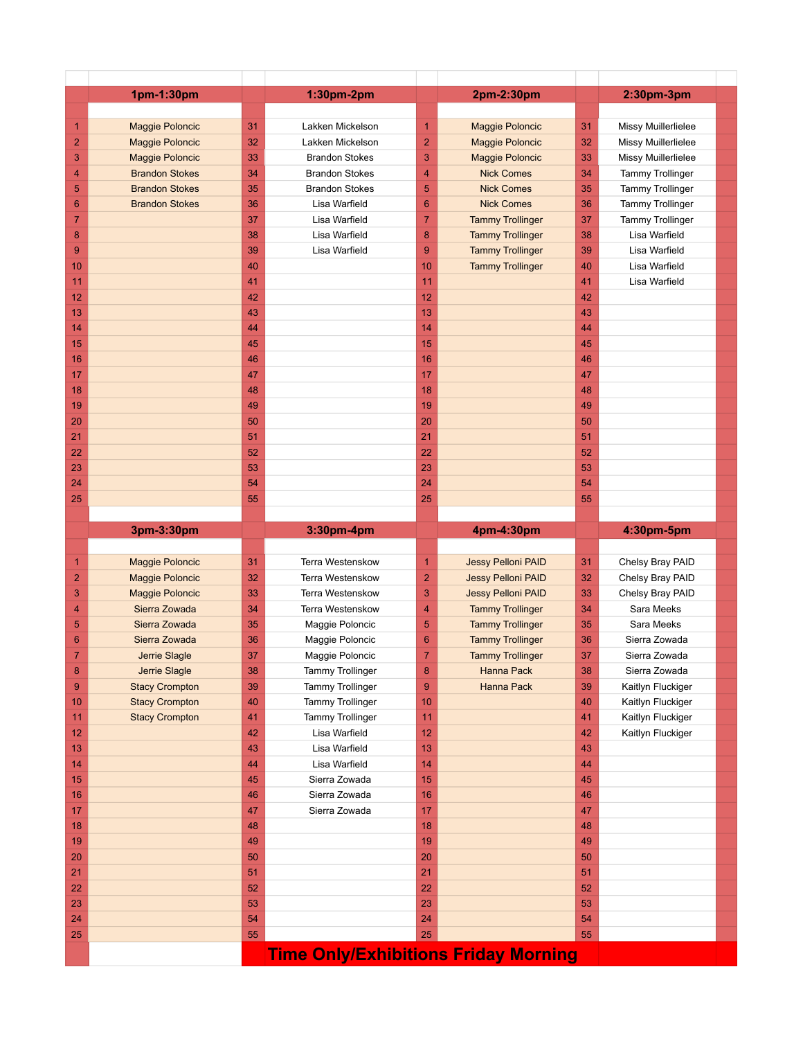|                 | 1pm-1:30pm             |          | 1:30pm-2pm                                  |                  | 2pm-2:30pm                |          | 2:30pm-3pm              |  |
|-----------------|------------------------|----------|---------------------------------------------|------------------|---------------------------|----------|-------------------------|--|
|                 |                        |          |                                             |                  |                           |          |                         |  |
| $\mathbf{1}$    | <b>Maggie Poloncic</b> | 31       | Lakken Mickelson                            | 1                | <b>Maggie Poloncic</b>    | 31       | Missy Muillerlielee     |  |
| $\overline{2}$  | <b>Maggie Poloncic</b> | 32       | Lakken Mickelson                            | $\overline{2}$   | <b>Maggie Poloncic</b>    | 32       | Missy Muillerlielee     |  |
| 3               | <b>Maggie Poloncic</b> | 33       | <b>Brandon Stokes</b>                       | 3                | <b>Maggie Poloncic</b>    | 33       | Missy Muillerlielee     |  |
| 4               | <b>Brandon Stokes</b>  | 34       | <b>Brandon Stokes</b>                       | $\overline{4}$   | <b>Nick Comes</b>         | 34       | <b>Tammy Trollinger</b> |  |
| 5               | <b>Brandon Stokes</b>  | 35       | <b>Brandon Stokes</b>                       | 5                | <b>Nick Comes</b>         | 35       | <b>Tammy Trollinger</b> |  |
| $6\phantom{1}6$ | <b>Brandon Stokes</b>  | 36       | Lisa Warfield                               | 6                | <b>Nick Comes</b>         | 36       | <b>Tammy Trollinger</b> |  |
| $\overline{7}$  |                        | 37       | Lisa Warfield                               | $\overline{7}$   | <b>Tammy Trollinger</b>   | 37       | <b>Tammy Trollinger</b> |  |
| 8               |                        | 38       | Lisa Warfield                               | $\boldsymbol{8}$ | <b>Tammy Trollinger</b>   | 38       | Lisa Warfield           |  |
| 9               |                        | 39<br>40 | Lisa Warfield                               | 9                | <b>Tammy Trollinger</b>   | 39       | Lisa Warfield           |  |
| 10              |                        |          |                                             | 10<br>11         | <b>Tammy Trollinger</b>   | 40       | Lisa Warfield           |  |
| 11<br>12        |                        | 41<br>42 |                                             | 12               |                           | 41<br>42 | Lisa Warfield           |  |
| 13              |                        | 43       |                                             | 13               |                           | 43       |                         |  |
| 14              |                        | 44       |                                             | 14               |                           | 44       |                         |  |
| 15              |                        | 45       |                                             | 15               |                           | 45       |                         |  |
| 16              |                        | 46       |                                             | 16               |                           | 46       |                         |  |
| 17              |                        | 47       |                                             | 17               |                           | 47       |                         |  |
| 18              |                        | 48       |                                             | 18               |                           | 48       |                         |  |
| 19              |                        | 49       |                                             | 19               |                           | 49       |                         |  |
| 20              |                        | 50       |                                             | 20               |                           | 50       |                         |  |
| 21              |                        | 51       |                                             | 21               |                           | 51       |                         |  |
| 22              |                        | 52       |                                             | 22               |                           | 52       |                         |  |
| 23              |                        | 53       |                                             | 23               |                           | 53       |                         |  |
| 24              |                        | 54       |                                             | 24               |                           | 54       |                         |  |
| 25              |                        | 55       |                                             | 25               |                           | 55       |                         |  |
|                 |                        |          |                                             |                  |                           |          |                         |  |
|                 |                        |          |                                             |                  |                           |          |                         |  |
|                 | 3pm-3:30pm             |          | 3:30pm-4pm                                  |                  | 4pm-4:30pm                |          | 4:30pm-5pm              |  |
|                 |                        |          |                                             |                  |                           |          |                         |  |
| $\mathbf{1}$    | <b>Maggie Poloncic</b> | 31       | Terra Westenskow                            | $\overline{1}$   | Jessy Pelloni PAID        | 31       | Chelsy Bray PAID        |  |
| $\overline{2}$  | <b>Maggie Poloncic</b> | 32       | Terra Westenskow                            | $\overline{2}$   | Jessy Pelloni PAID        | 32       | Chelsy Bray PAID        |  |
| 3               | <b>Maggie Poloncic</b> | 33       | Terra Westenskow                            | 3                | <b>Jessy Pelloni PAID</b> | 33       | Chelsy Bray PAID        |  |
| 4               | Sierra Zowada          | 34       | Terra Westenskow                            | $\overline{4}$   | <b>Tammy Trollinger</b>   | 34       | Sara Meeks              |  |
| 5               | Sierra Zowada          | 35       | Maggie Poloncic                             | 5                | <b>Tammy Trollinger</b>   | 35       | Sara Meeks              |  |
| $6\phantom{1}6$ | Sierra Zowada          | 36       | Maggie Poloncic                             | 6                | <b>Tammy Trollinger</b>   | 36       | Sierra Zowada           |  |
| $\overline{7}$  | Jerrie Slagle          | 37       | Maggie Poloncic                             | $\overline{7}$   | <b>Tammy Trollinger</b>   | 37       | Sierra Zowada           |  |
| 8               | Jerrie Slagle          | 38       | Tammy Trollinger                            | 8                | <b>Hanna Pack</b>         | 38       | Sierra Zowada           |  |
| 9               | <b>Stacy Crompton</b>  | 39       | <b>Tammy Trollinger</b>                     | $\overline{9}$   | Hanna Pack                | 39       | Kaitlyn Fluckiger       |  |
| 10              | <b>Stacy Crompton</b>  | 40       | <b>Tammy Trollinger</b>                     | 10               |                           | 40       | Kaitlyn Fluckiger       |  |
| 11              | <b>Stacy Crompton</b>  | 41       | <b>Tammy Trollinger</b>                     | 11               |                           | 41       | Kaitlyn Fluckiger       |  |
| 12              |                        | 42       | Lisa Warfield                               | 12               |                           | 42       | Kaitlyn Fluckiger       |  |
| 13              |                        | 43       | Lisa Warfield                               | 13               |                           | 43       |                         |  |
| 14              |                        | 44       | Lisa Warfield                               | 14               |                           | 44       |                         |  |
| 15              |                        | 45       | Sierra Zowada                               | 15               |                           | 45       |                         |  |
| 16              |                        | 46       | Sierra Zowada                               | 16               |                           | 46       |                         |  |
| 17              |                        | 47       | Sierra Zowada                               | 17               |                           | 47       |                         |  |
| 18              |                        | 48       |                                             | 18               |                           | 48<br>49 |                         |  |
| 19              |                        | 49       |                                             | 19               |                           |          |                         |  |
| 20<br>21        |                        | 50<br>51 |                                             | 20<br>21         |                           | 50<br>51 |                         |  |
| 22              |                        | 52       |                                             | 22               |                           | 52       |                         |  |
| 23              |                        | 53       |                                             | 23               |                           | 53       |                         |  |
| 24              |                        | 54       |                                             | 24               |                           | 54       |                         |  |
| 25              |                        | 55       |                                             | 25               |                           | 55       |                         |  |
|                 |                        |          | <b>Time Only/Exhibitions Friday Morning</b> |                  |                           |          |                         |  |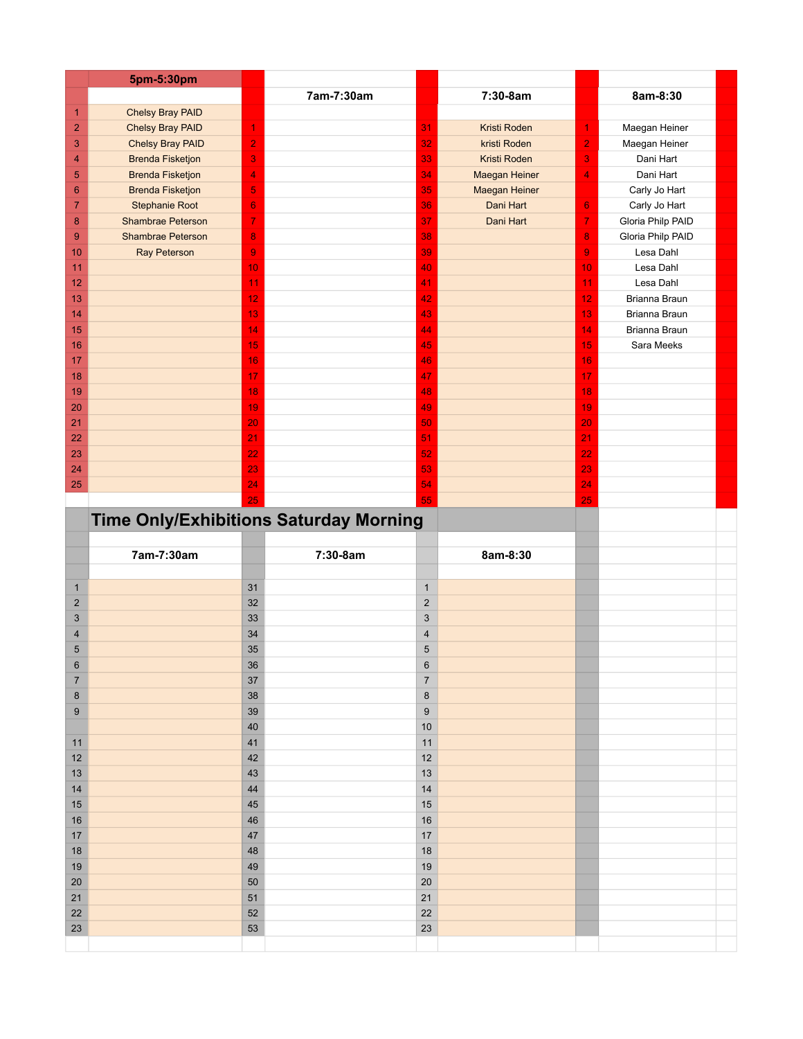|                         | 5pm-5:30pm                                    |                         |            |                         |                     |                  |                   |  |
|-------------------------|-----------------------------------------------|-------------------------|------------|-------------------------|---------------------|------------------|-------------------|--|
|                         |                                               |                         | 7am-7:30am |                         | 7:30-8am            |                  | 8am-8:30          |  |
| $\mathbf{1}$            | <b>Chelsy Bray PAID</b>                       |                         |            |                         |                     |                  |                   |  |
| $\overline{\mathbf{c}}$ | <b>Chelsy Bray PAID</b>                       | 1                       |            | 31                      | Kristi Roden        | 1                | Maegan Heiner     |  |
| 3                       | Chelsy Bray PAID                              | $\overline{2}$          |            | 32                      | kristi Roden        | $\overline{2}$   | Maegan Heiner     |  |
| 4                       | <b>Brenda Fisketjon</b>                       | $\mathbf 3$             |            | 33                      | <b>Kristi Roden</b> | 3                | Dani Hart         |  |
| $\sqrt{5}$              | <b>Brenda Fisketjon</b>                       | 4                       |            | 34                      | Maegan Heiner       | 4                | Dani Hart         |  |
| $6\phantom{1}6$         | <b>Brenda Fisketjon</b>                       | $\overline{\mathbf{5}}$ |            | 35                      | Maegan Heiner       |                  | Carly Jo Hart     |  |
| $\overline{7}$          | Stephanie Root                                | $6\phantom{1}6$         |            | 36                      | Dani Hart           | $6\phantom{1}$   | Carly Jo Hart     |  |
| 8                       | <b>Shambrae Peterson</b>                      | $\overline{7}$          |            | 37                      | Dani Hart           | $\overline{7}$   | Gloria Philp PAID |  |
| $\boldsymbol{9}$        | <b>Shambrae Peterson</b>                      | $\boldsymbol{8}$        |            | 38                      |                     | 8                | Gloria Philp PAID |  |
| 10                      | <b>Ray Peterson</b>                           | $\boldsymbol{9}$        |            | 39                      |                     | $\boldsymbol{9}$ | Lesa Dahl         |  |
| 11                      |                                               | 10                      |            | 40                      |                     | 10               | Lesa Dahl         |  |
| 12                      |                                               | 11                      |            | 41                      |                     | 11               | Lesa Dahl         |  |
| 13                      |                                               | 12                      |            | 42                      |                     | 12               | Brianna Braun     |  |
| 14                      |                                               | 13                      |            | 43                      |                     | 13               | Brianna Braun     |  |
| 15                      |                                               | 14                      |            | 44                      |                     | 14               | Brianna Braun     |  |
| 16                      |                                               | 15                      |            | 45                      |                     | 15               | Sara Meeks        |  |
| 17                      |                                               | 16                      |            | 46                      |                     | 16               |                   |  |
| 18                      |                                               | 17                      |            | 47                      |                     | 17               |                   |  |
| 19                      |                                               | 18                      |            | 48                      |                     | 18               |                   |  |
| 20                      |                                               | 19                      |            | 49                      |                     | 19               |                   |  |
| 21                      |                                               | 20                      |            | 50                      |                     | 20               |                   |  |
| 22                      |                                               | 21                      |            | 51                      |                     | 21               |                   |  |
| 23                      |                                               | 22                      |            | 52                      |                     | 22               |                   |  |
| 24                      |                                               | 23                      |            | 53                      |                     | 23               |                   |  |
| 25                      |                                               | 24                      |            | 54                      |                     | 24               |                   |  |
|                         |                                               | 25                      |            | 55                      |                     | 25               |                   |  |
|                         | <b>Time Only/Exhibitions Saturday Morning</b> |                         |            |                         |                     |                  |                   |  |
|                         |                                               |                         |            |                         |                     |                  |                   |  |
|                         |                                               |                         |            |                         |                     |                  |                   |  |
|                         |                                               |                         |            |                         |                     |                  |                   |  |
|                         | 7am-7:30am                                    |                         | 7:30-8am   |                         | 8am-8:30            |                  |                   |  |
|                         |                                               |                         |            |                         |                     |                  |                   |  |
| $\mathbf{1}$            |                                               | 31                      |            | $\mathbf{1}$            |                     |                  |                   |  |
| $\overline{2}$          |                                               | 32                      |            | $\overline{2}$          |                     |                  |                   |  |
| $\mathbf{3}$            |                                               | 33                      |            | $\mathsf 3$             |                     |                  |                   |  |
| $\overline{\mathbf{4}}$ |                                               | 34                      |            | $\overline{\mathbf{4}}$ |                     |                  |                   |  |
| $\overline{5}$          |                                               | 35                      |            | $\sqrt{5}$              |                     |                  |                   |  |
| 6                       |                                               | 36                      |            | $\,6$                   |                     |                  |                   |  |
| $\overline{7}$          |                                               | 37                      |            | $\boldsymbol{7}$        |                     |                  |                   |  |
| $\bf 8$                 |                                               | 38                      |            | $\bf 8$                 |                     |                  |                   |  |
| $\boldsymbol{9}$        |                                               | 39                      |            | $\boldsymbol{9}$        |                     |                  |                   |  |
|                         |                                               | 40                      |            | $10$                    |                     |                  |                   |  |
| 11                      |                                               | 41                      |            | 11                      |                     |                  |                   |  |
| 12                      |                                               | 42                      |            | 12                      |                     |                  |                   |  |
| 13                      |                                               | 43                      |            | 13                      |                     |                  |                   |  |
| 14                      |                                               | 44                      |            | 14                      |                     |                  |                   |  |
| 15                      |                                               | 45                      |            | 15                      |                     |                  |                   |  |
| 16                      |                                               | 46                      |            | 16                      |                     |                  |                   |  |
| $17$                    |                                               | 47                      |            | 17                      |                     |                  |                   |  |
| 18                      |                                               | 48                      |            | 18                      |                     |                  |                   |  |
| 19                      |                                               | 49                      |            | 19                      |                     |                  |                   |  |
| 20                      |                                               | 50                      |            | $20\,$                  |                     |                  |                   |  |
| 21                      |                                               | 51                      |            | 21                      |                     |                  |                   |  |
| 22<br>23                |                                               | 52<br>53                |            | 22<br>23                |                     |                  |                   |  |